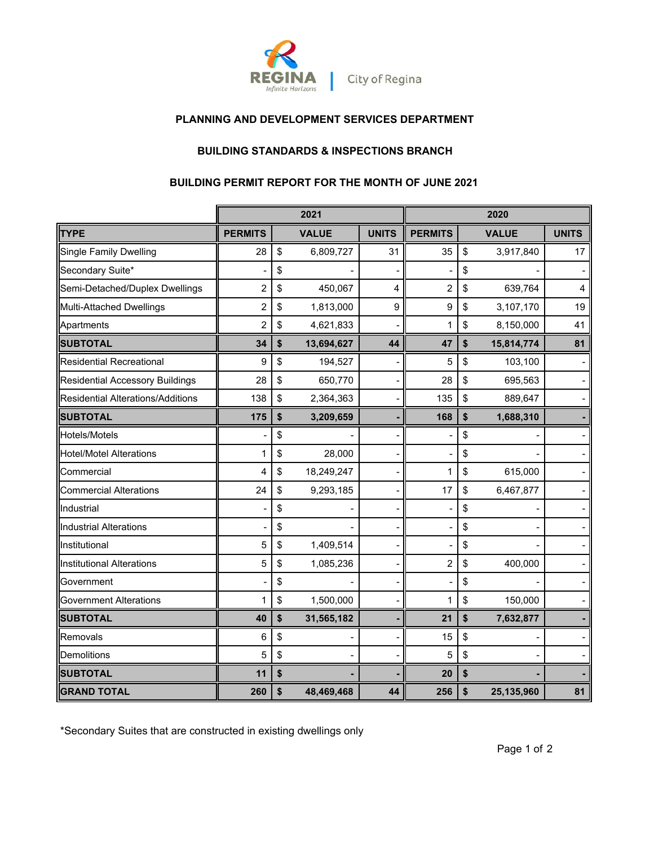

## **PLANNING AND DEVELOPMENT SERVICES DEPARTMENT**

## **BUILDING STANDARDS & INSPECTIONS BRANCH**

## **BUILDING PERMIT REPORT FOR THE MONTH OF JUNE 2021**

|                                          | 2021<br>2020   |    |              |              |                |                  |              |
|------------------------------------------|----------------|----|--------------|--------------|----------------|------------------|--------------|
| <b>TYPE</b>                              | <b>PERMITS</b> |    | <b>VALUE</b> | <b>UNITS</b> | <b>PERMITS</b> | <b>VALUE</b>     | <b>UNITS</b> |
| <b>Single Family Dwelling</b>            | 28             | \$ | 6,809,727    | 31           | 35             | \$<br>3,917,840  | 17           |
| Secondary Suite*                         |                | \$ |              |              |                | \$               |              |
| Semi-Detached/Duplex Dwellings           | $\overline{c}$ | \$ | 450,067      | 4            | $\overline{2}$ | \$<br>639,764    | 4            |
| Multi-Attached Dwellings                 | 2              | \$ | 1,813,000    | 9            | 9              | \$<br>3,107,170  | 19           |
| Apartments                               | 2              | \$ | 4,621,833    |              | 1              | \$<br>8,150,000  | 41           |
| <b>SUBTOTAL</b>                          | 34             | \$ | 13,694,627   | 44           | 47             | \$<br>15,814,774 | 81           |
| <b>Residential Recreational</b>          | 9              | \$ | 194,527      |              | 5              | \$<br>103,100    |              |
| <b>Residential Accessory Buildings</b>   | 28             | \$ | 650,770      |              | 28             | \$<br>695,563    |              |
| <b>Residential Alterations/Additions</b> | 138            | \$ | 2,364,363    |              | 135            | \$<br>889,647    |              |
| <b>SUBTOTAL</b>                          | 175            | \$ | 3,209,659    |              | 168            | \$<br>1,688,310  |              |
| Hotels/Motels                            |                | \$ |              |              |                | \$               |              |
| <b>Hotel/Motel Alterations</b>           | 1              | \$ | 28,000       |              |                | \$               |              |
| Commercial                               | 4              | \$ | 18,249,247   |              | 1              | \$<br>615,000    |              |
| <b>Commercial Alterations</b>            | 24             | \$ | 9,293,185    |              | 17             | \$<br>6,467,877  |              |
| Industrial                               |                | \$ |              |              |                | \$               |              |
| <b>Industrial Alterations</b>            |                | \$ |              |              |                | \$               |              |
| Institutional                            | 5              | \$ | 1,409,514    |              |                | \$               |              |
| <b>Institutional Alterations</b>         | 5              | \$ | 1,085,236    |              | $\overline{2}$ | \$<br>400,000    |              |
| Government                               |                | \$ |              |              |                | \$               |              |
| <b>Government Alterations</b>            |                | \$ | 1,500,000    |              | 1              | \$<br>150,000    |              |
| <b>SUBTOTAL</b>                          | 40             | \$ | 31,565,182   |              | 21             | \$<br>7,632,877  |              |
| Removals                                 | 6              | \$ |              |              | 15             | \$               |              |
| Demolitions                              | 5              | \$ |              |              | 5              | \$               |              |
| <b>SUBTOTAL</b>                          | 11             | \$ |              |              | 20             | \$               |              |
| <b>GRAND TOTAL</b>                       | 260            | \$ | 48,469,468   | 44           | 256            | \$<br>25,135,960 | 81           |

\*Secondary Suites that are constructed in existing dwellings only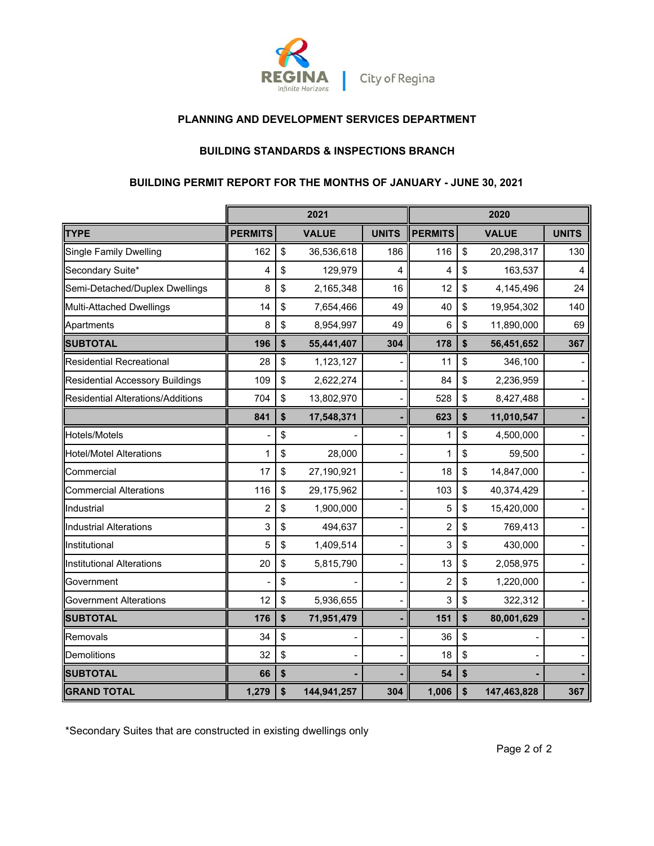

## **PLANNING AND DEVELOPMENT SERVICES DEPARTMENT**

#### **BUILDING STANDARDS & INSPECTIONS BRANCH**

# **BUILDING PERMIT REPORT FOR THE MONTHS OF JANUARY - JUNE 30, 2021**

|                                   | 2021           |    |              |              | 2020           |    |              |              |
|-----------------------------------|----------------|----|--------------|--------------|----------------|----|--------------|--------------|
| <b>TYPE</b>                       | <b>PERMITS</b> |    | <b>VALUE</b> | <b>UNITS</b> | <b>PERMITS</b> |    | <b>VALUE</b> | <b>UNITS</b> |
| <b>Single Family Dwelling</b>     | 162            | \$ | 36,536,618   | 186          | 116            | \$ | 20,298,317   | 130          |
| Secondary Suite*                  | 4              | \$ | 129,979      | 4            | 4              | \$ | 163,537      | 4            |
| Semi-Detached/Duplex Dwellings    | 8              | \$ | 2,165,348    | 16           | 12             | \$ | 4,145,496    | 24           |
| Multi-Attached Dwellings          | 14             | \$ | 7,654,466    | 49           | 40             | \$ | 19,954,302   | 140          |
| Apartments                        | 8              | \$ | 8,954,997    | 49           | 6              | \$ | 11,890,000   | 69           |
| <b>SUBTOTAL</b>                   | 196            | \$ | 55,441,407   | 304          | 178            | \$ | 56,451,652   | 367          |
| <b>Residential Recreational</b>   | 28             | \$ | 1,123,127    |              | 11             | \$ | 346,100      |              |
| Residential Accessory Buildings   | 109            | \$ | 2,622,274    |              | 84             | \$ | 2,236,959    |              |
| Residential Alterations/Additions | 704            | \$ | 13,802,970   |              | 528            | \$ | 8,427,488    |              |
|                                   | 841            | \$ | 17,548,371   |              | 623            | \$ | 11,010,547   |              |
| <b>Hotels/Motels</b>              |                | \$ |              |              | 1              | \$ | 4,500,000    |              |
| <b>Hotel/Motel Alterations</b>    | 1              | \$ | 28,000       |              | 1              | \$ | 59,500       |              |
| Commercial                        | 17             | \$ | 27,190,921   |              | 18             | \$ | 14,847,000   |              |
| <b>Commercial Alterations</b>     | 116            | \$ | 29,175,962   |              | 103            | \$ | 40,374,429   |              |
| Industrial                        | $\overline{c}$ | \$ | 1,900,000    |              | 5              | \$ | 15,420,000   |              |
| <b>Industrial Alterations</b>     | 3              | \$ | 494,637      |              | $\overline{2}$ | \$ | 769,413      |              |
| Institutional                     | 5              | \$ | 1,409,514    |              | 3              | \$ | 430,000      |              |
| <b>Institutional Alterations</b>  | 20             | \$ | 5,815,790    |              | 13             | \$ | 2,058,975    |              |
| Government                        |                | \$ |              |              | $\overline{c}$ | \$ | 1,220,000    |              |
| <b>Government Alterations</b>     | 12             | \$ | 5,936,655    |              | 3              | \$ | 322,312      |              |
| <b>SUBTOTAL</b>                   | 176            | \$ | 71,951,479   |              | 151            | \$ | 80,001,629   |              |
| Removals                          | 34             | \$ |              |              | 36             | \$ |              |              |
| <b>Demolitions</b>                | 32             | \$ |              |              | 18             | \$ |              |              |
| <b>SUBTOTAL</b>                   | 66             | \$ |              |              | 54             | \$ |              |              |
| <b>GRAND TOTAL</b>                | 1,279          | \$ | 144,941,257  | 304          | 1,006          | \$ | 147,463,828  | 367          |

\*Secondary Suites that are constructed in existing dwellings only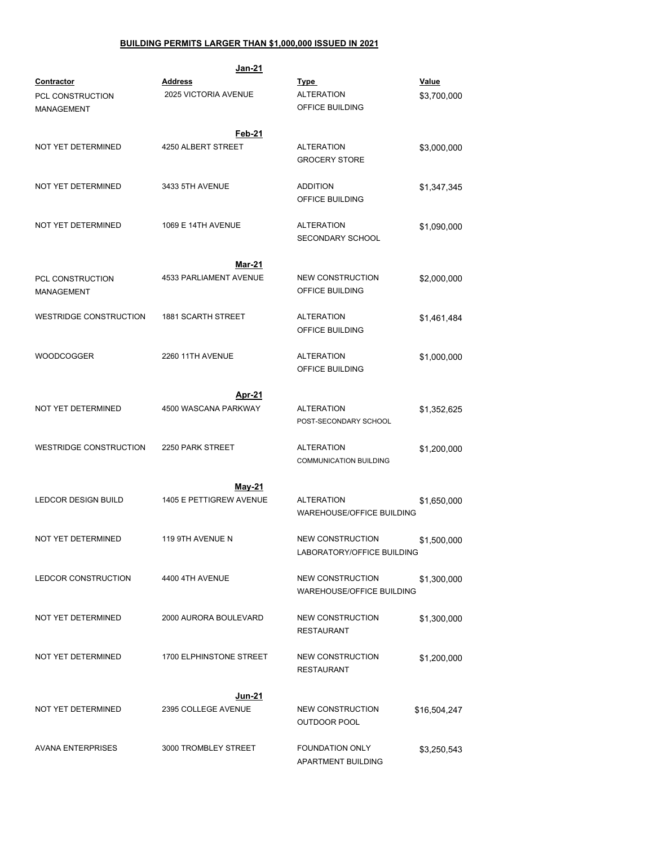#### **BUILDING PERMITS LARGER THAN \$1,000,000 ISSUED IN 2021**

| Jan-21                                                     |                                         |                                                             |                             |  |  |  |  |  |  |
|------------------------------------------------------------|-----------------------------------------|-------------------------------------------------------------|-----------------------------|--|--|--|--|--|--|
| <b>Contractor</b><br>PCL CONSTRUCTION<br><b>MANAGEMENT</b> | <b>Address</b><br>2025 VICTORIA AVENUE  | <b>Type</b><br><b>ALTERATION</b><br>OFFICE BUILDING         | <u>Value</u><br>\$3,700,000 |  |  |  |  |  |  |
| NOT YET DETERMINED                                         | Feb-21<br>4250 ALBERT STREET            | <b>ALTERATION</b><br><b>GROCERY STORE</b>                   | \$3,000,000                 |  |  |  |  |  |  |
| NOT YET DETERMINED                                         | 3433 5TH AVENUE                         | <b>ADDITION</b><br>OFFICE BUILDING                          | \$1,347,345                 |  |  |  |  |  |  |
| NOT YET DETERMINED                                         | 1069 E 14TH AVENUE                      | <b>ALTERATION</b><br>SECONDARY SCHOOL                       | \$1,090,000                 |  |  |  |  |  |  |
|                                                            |                                         |                                                             |                             |  |  |  |  |  |  |
| PCL CONSTRUCTION<br>MANAGEMENT                             | <u>Mar-21</u><br>4533 PARLIAMENT AVENUE | <b>NEW CONSTRUCTION</b><br>OFFICE BUILDING                  | \$2,000,000                 |  |  |  |  |  |  |
| <b>WESTRIDGE CONSTRUCTION</b>                              | 1881 SCARTH STREET                      | <b>ALTERATION</b><br>OFFICE BUILDING                        | \$1,461,484                 |  |  |  |  |  |  |
| <b>WOODCOGGER</b>                                          | 2260 11TH AVENUE                        | <b>ALTERATION</b><br>OFFICE BUILDING                        | \$1,000,000                 |  |  |  |  |  |  |
|                                                            |                                         |                                                             |                             |  |  |  |  |  |  |
| NOT YET DETERMINED                                         | Apr-21<br>4500 WASCANA PARKWAY          | <b>ALTERATION</b><br>POST-SECONDARY SCHOOL                  | \$1,352,625                 |  |  |  |  |  |  |
| <b>WESTRIDGE CONSTRUCTION</b>                              | 2250 PARK STREET                        | <b>ALTERATION</b><br><b>COMMUNICATION BUILDING</b>          | \$1,200,000                 |  |  |  |  |  |  |
|                                                            | May-21                                  |                                                             |                             |  |  |  |  |  |  |
| LEDCOR DESIGN BUILD                                        | 1405 E PETTIGREW AVENUE                 | <b>ALTERATION</b><br><b>WAREHOUSE/OFFICE BUILDING</b>       | \$1,650,000                 |  |  |  |  |  |  |
| NOT YET DETERMINED                                         | 119 9TH AVENUE N                        | NEW CONSTRUCTION<br><b>LABORATORY/OFFICE BUILDING</b>       | \$1,500,000                 |  |  |  |  |  |  |
| LEDCOR CONSTRUCTION                                        | 4400 4TH AVENUE                         | <b>NEW CONSTRUCTION</b><br><b>WAREHOUSE/OFFICE BUILDING</b> | \$1,300,000                 |  |  |  |  |  |  |
| NOT YET DETERMINED                                         | 2000 AURORA BOULEVARD                   | NEW CONSTRUCTION<br><b>RESTAURANT</b>                       | \$1,300,000                 |  |  |  |  |  |  |
| NOT YET DETERMINED                                         | 1700 ELPHINSTONE STREET                 | NEW CONSTRUCTION<br><b>RESTAURANT</b>                       | \$1,200,000                 |  |  |  |  |  |  |
| NOT YET DETERMINED                                         | <u>Jun-21</u><br>2395 COLLEGE AVENUE    | NEW CONSTRUCTION<br><b>OUTDOOR POOL</b>                     | \$16,504,247                |  |  |  |  |  |  |
| <b>AVANA ENTERPRISES</b>                                   | 3000 TROMBLEY STREET                    | <b>FOUNDATION ONLY</b><br>APARTMENT BUILDING                | \$3,250,543                 |  |  |  |  |  |  |